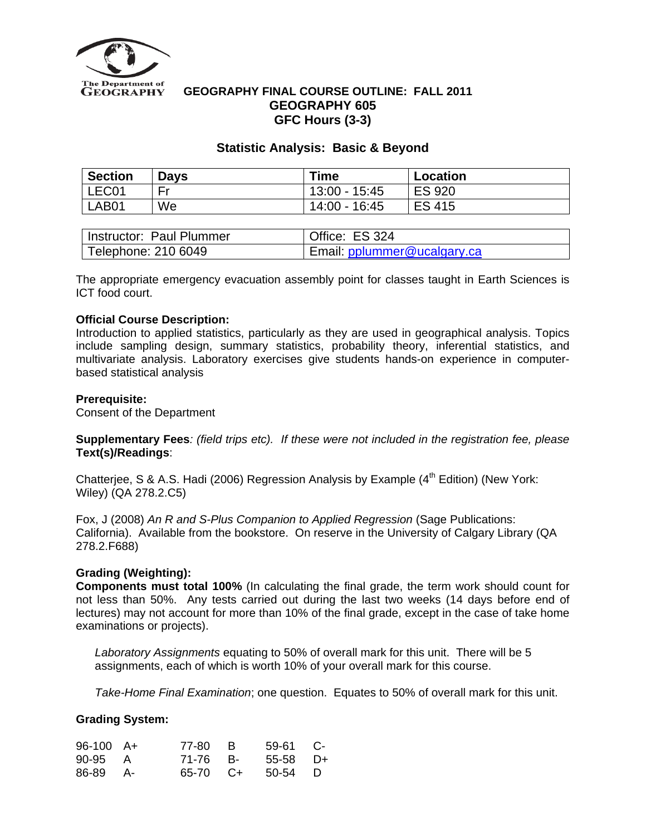

## **GEOGRAPHY FINAL COURSE OUTLINE: FALL 2011 GEOGRAPHY 605 GFC Hours (3-3)**

# **Statistic Analysis: Basic & Beyond**

| <b>Section</b> | <b>Days</b> | Time          | <b>Location</b> |
|----------------|-------------|---------------|-----------------|
| LEC01          | Er          | 13:00 - 15:45 | <b>ES 920</b>   |
| LAB01          | We          | 14:00 - 16:45 | <b>ES 415</b>   |

| Instructor: Paul Plummer | Office: ES 324              |
|--------------------------|-----------------------------|
| Telephone: 210 6049      | Email: pplummer@ucalgary.ca |

The appropriate emergency evacuation assembly point for classes taught in Earth Sciences is ICT food court.

## **Official Course Description:**

Introduction to applied statistics, particularly as they are used in geographical analysis. Topics include sampling design, summary statistics, probability theory, inferential statistics, and multivariate analysis. Laboratory exercises give students hands-on experience in computerbased statistical analysis

## **Prerequisite:**

Consent of the Department

**Supplementary Fees***: (field trips etc). If these were not included in the registration fee, please*  **Text(s)/Readings**:

Chatteriee, S & A.S. Hadi (2006) Regression Analysis by Example  $(4<sup>th</sup>$  Edition) (New York: Wiley) (QA 278.2.C5)

Fox, J (2008) *An R and S-Plus Companion to Applied Regression* (Sage Publications: California). Available from the bookstore. On reserve in the University of Calgary Library (QA 278.2.F688)

## **Grading (Weighting):**

**Components must total 100%** (In calculating the final grade, the term work should count for not less than 50%. Any tests carried out during the last two weeks (14 days before end of lectures) may not account for more than 10% of the final grade, except in the case of take home examinations or projects).

*Laboratory Assignments* equating to 50% of overall mark for this unit. There will be 5 assignments, each of which is worth 10% of your overall mark for this course.

*Take-Home Final Examination*; one question. Equates to 50% of overall mark for this unit.

## **Grading System:**

| $96-100$ A+ | 77-80 B  | $59-61$ C- |  |
|-------------|----------|------------|--|
| 90-95 A     | 71-76 B- | $55-58$ D+ |  |
| 86-89 A-    | 65-70 C+ | 50-54 D    |  |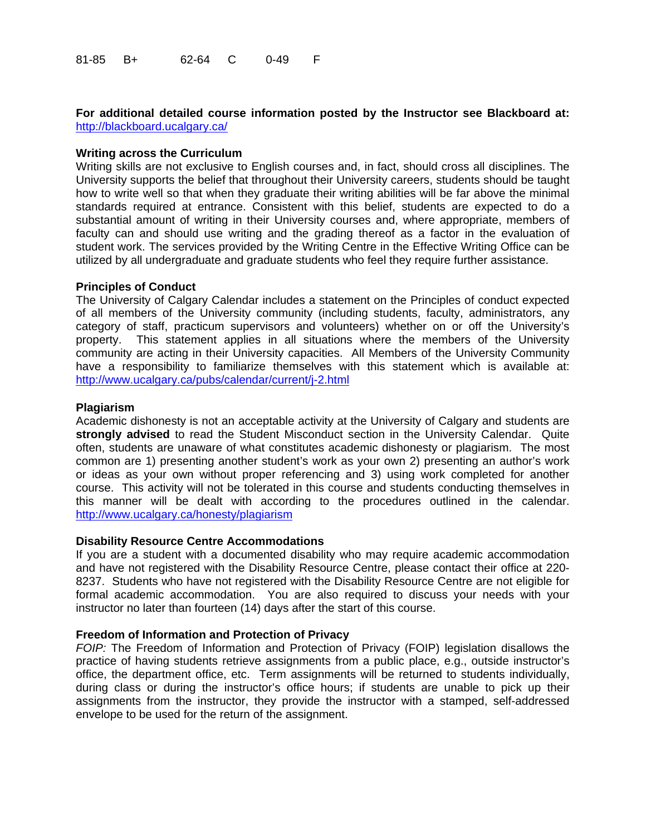## **For additional detailed course information posted by the Instructor see Blackboard at:**  <http://blackboard.ucalgary.ca/>

#### **Writing across the Curriculum**

Writing skills are not exclusive to English courses and, in fact, should cross all disciplines. The University supports the belief that throughout their University careers, students should be taught how to write well so that when they graduate their writing abilities will be far above the minimal standards required at entrance. Consistent with this belief, students are expected to do a substantial amount of writing in their University courses and, where appropriate, members of faculty can and should use writing and the grading thereof as a factor in the evaluation of student work. The services provided by the Writing Centre in the Effective Writing Office can be utilized by all undergraduate and graduate students who feel they require further assistance.

#### **Principles of Conduct**

The University of Calgary Calendar includes a statement on the Principles of conduct expected of all members of the University community (including students, faculty, administrators, any category of staff, practicum supervisors and volunteers) whether on or off the University's property. This statement applies in all situations where the members of the University community are acting in their University capacities. All Members of the University Community have a responsibility to familiarize themselves with this statement which is available at: <http://www.ucalgary.ca/pubs/calendar/current/j-2.html>

#### **Plagiarism**

Academic dishonesty is not an acceptable activity at the University of Calgary and students are **strongly advised** to read the Student Misconduct section in the University Calendar. Quite often, students are unaware of what constitutes academic dishonesty or plagiarism. The most common are 1) presenting another student's work as your own 2) presenting an author's work or ideas as your own without proper referencing and 3) using work completed for another course. This activity will not be tolerated in this course and students conducting themselves in this manner will be dealt with according to the procedures outlined in the calendar. <http://www.ucalgary.ca/honesty/plagiarism>

#### **Disability Resource Centre Accommodations**

If you are a student with a documented disability who may require academic accommodation and have not registered with the Disability Resource Centre, please contact their office at 220- 8237. Students who have not registered with the Disability Resource Centre are not eligible for formal academic accommodation. You are also required to discuss your needs with your instructor no later than fourteen (14) days after the start of this course.

#### **Freedom of Information and Protection of Privacy**

*FOIP:* The Freedom of Information and Protection of Privacy (FOIP) legislation disallows the practice of having students retrieve assignments from a public place, e.g., outside instructor's office, the department office, etc. Term assignments will be returned to students individually, during class or during the instructor's office hours; if students are unable to pick up their assignments from the instructor, they provide the instructor with a stamped, self-addressed envelope to be used for the return of the assignment.